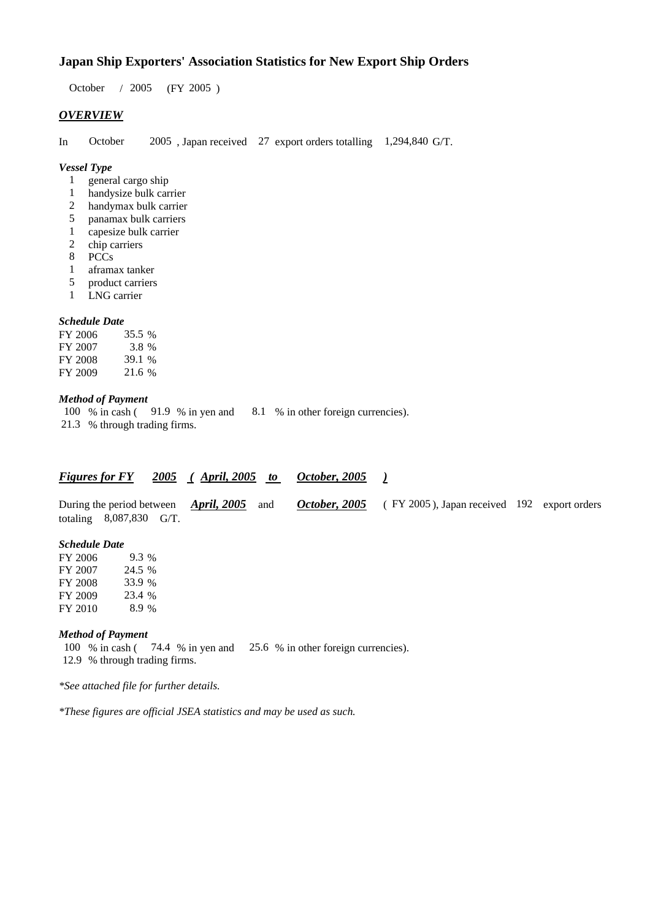# **Japan Ship Exporters' Association Statistics for New Export Ship Orders**

October / 2005 (FY 2005 )

## *OVERVIEW*

In October 2005 , Japan received 27 export orders totalling 1,294,840 G/T.

#### *Vessel Type*

- 1 general cargo ship
- 1 handysize bulk carrier
- 2 handymax bulk carrier
- 5 panamax bulk carriers
- 1 capesize bulk carrier<br>2 chip carriers
- chip carriers
- 8 PCCs
- 1 aframax tanker
- 5 product carriers
- 1 LNG carrier

#### *Schedule Date*

| FY 2006 | 35.5 % |
|---------|--------|
| FY 2007 | 3.8 %  |
| FY 2008 | 39.1 % |
| FY 2009 | 21.6 % |

### *Method of Payment*

100 % in cash ( 91.9 % in yen and 8.1 % in other foreign currencies). 21.3 % through trading firms.

# *Figures for FY 2005 ( April, 2005 to October, 2005 )*

During the period between *April, 2005* and *October, 2005* (FY 2005), Japan received 192 export orders totaling 8,087,830 G/T.

#### *Schedule Date*

| FY 2006 | $9.3\%$ |
|---------|---------|
| FY 2007 | 24.5 %  |
| FY 2008 | 33.9 %  |
| FY 2009 | 23.4 %  |
| FY 2010 | 8.9 %   |

#### *Method of Payment*

100 % in cash ( 74.4 % in yen and 25.6 % in other foreign currencies). 12.9 % through trading firms.

*\*See attached file for further details.*

*\*These figures are official JSEA statistics and may be used as such.*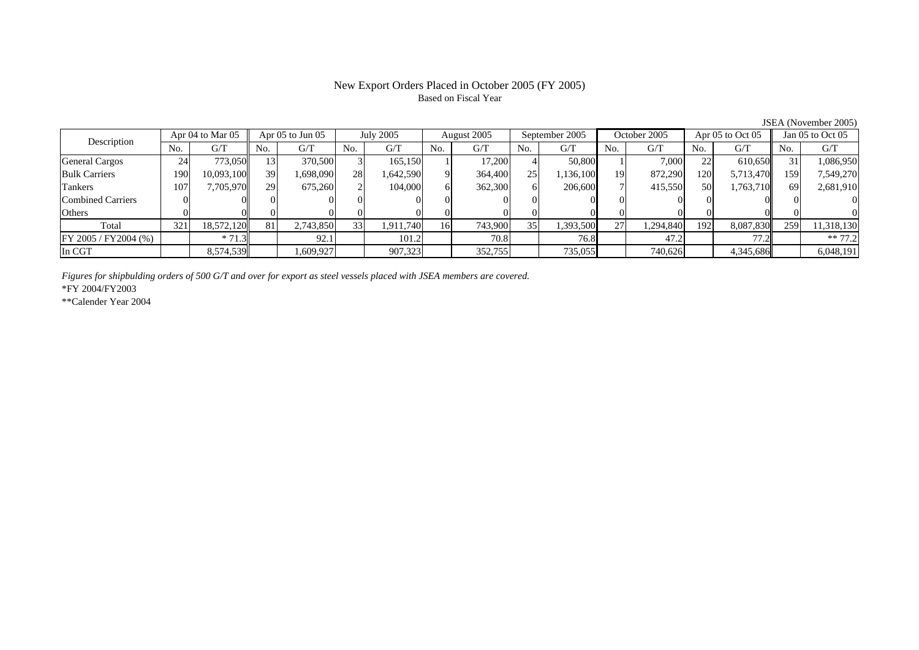### New Export Orders Placed in October 2005 (FY 2005) Based on Fiscal Year

Description Apr 04 to Mar 05 Apr 05 to Jun 05 July 2005 August 2005 September 2005 October 2005 Apr 05 to Oct 05 Jan 05 to Oct 05<br>No. 1 G/T No. 1 G/T No. 1 G/T No. 1 G/T No. 1 G/T No. 1 G/T No. 1 G/T No. 1 G/T No. 1 G/T No  $No.$   $G/T$ T || No. | G/T || No. | G/T || No. | G/T || No. | G/T || G/T || No. | G/T || No. | G/T || No. | G/T General Cargos ( 24 773,050 13 370,500 3 165,150 1 17,200 4 50,800 1 7,000 22 610,650 31 1,086,950 Bulk Carriers 1900| 10,093,100|| 39| 1,698,090| 28| 1,642,590| 9| 364,400| 25| 1,136,100| 19| 872,290| 120| 5,713,470|| 159| 7,549,270 Tankers 1077| 7,705,970|| 29| 675,260| 2| 104,000| 6| 362,300| 6| 206,600| 7| 415,550| 50| 1,763,710|| 69| 2,681,910 Combined Carriers 1 0 0 0 0 0 0 0 0 0 0 0 0 0 0 0 0 **Others** s and  $\vert 0$  0 0 0 0 0 0 0 0 0 0 0 0 0 0 0 Total 321 18,572,120 81 2,743,850 33 1,911,740 16 743,900 35 1,393,500 27 1,294,840 192 8,087,830 259 11,318,130  $\boxed{\text{FY 2005 / FY2004 } (\%) }$  \* 71.3 92.1 101.2 70.8 76.8 47.2 7.2 77.2 \*\* 77.2 In CGTT | | 8,574,539|| | 1,609,927| | 907,323| | 352,755| | 735,055**|** | 740,626| | 4,345,686|| | 6,048,191

*Figures for shipbulding orders of 500 G/T and over for export as steel vessels placed with JSEA members are covered.*

\*FY 2004/FY2003

\*\*Calender Year 2004

JSEA (November 2005)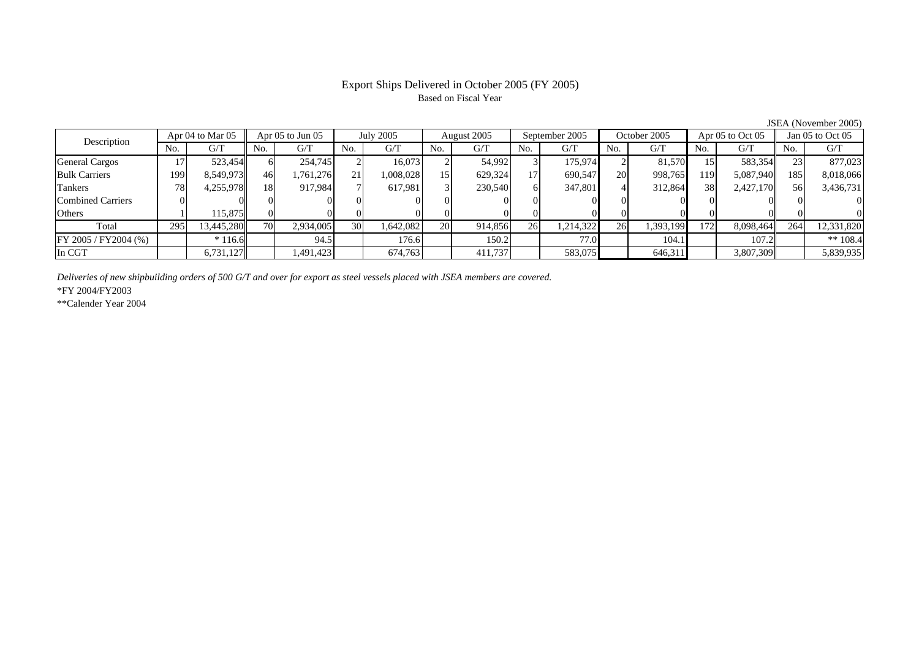# Based on Fiscal Year

Description Apr 04 to Mar 05 Apr 05 to Jun 05 July 2005 August 2005 September 2005 October 2005 Apr 05 to Oct 05 Jan 05 to Oct 05<br>No. 1 G/T No. 1 G/T No. 1 G/T No. 1 G/T No. 1 G/T No. 1 G/T No. 1 G/T No. 1 G/T No. 1 G/T No No.  $G/T$ T || No. | G/T || No. | G/T || No. | G/T || No. | G/T || G/T || No. | G/T || No. | G/T || No. | G/T General Cargos 17 523,454 6 254,745 2 16,073 2 54,992 3 175,974 2 81,570 15 583,354 23 877,023 Bulk Carriers 1999| 8,549,973|| 46| 1,761,276| 21| 1,008,028| 15| 629,324| 17| 690,547| 20| 998,765| 119| 5,087,940|| 185| 8,018,066 Tankers 788| 4,255,978|| 18| 917,984| 7| 617,981| 3| 230,540| 6| 347,801| 4| 312,864| 38| 2,427,170|| 56| 3,436,731 Combined Carriers 0 0 0 0 0 0 0 0 0 0 0 0 0 0 0 0 **Others** s and  $1$  115,875 0 0 0 0 0 0 0 0 0 0 0 0 0 0 Total 295 13,445,280 70 2,934,005 30 1,642,082 20 914,856 26 1,214,322 26 1,393,199 172 8,098,464 264 12,331,820 FY 2005 / FY2004 (%) \* 116.6 94.5 176.6 150.2 77.0 104.1 107.2 \*\* 108.4 In CGT6,731,127 1,491,423 674,763 411,737 583,075 646,311 3,807,309 5,839,935

*Deliveries of new shipbuilding orders of 500 G/T and over for export as steel vessels placed with JSEA members are covered.*

\*FY 2004/FY2003

\*\*Calender Year 2004

JSEA (November 2005)

# Export Ships Delivered in October 2005 (FY 2005)